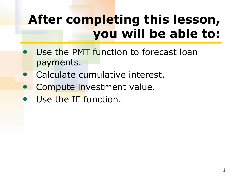## **After completing this lesson, you will be able to:**

- Use the PMT function to forecast loan payments.
- Calculate cumulative interest.
- Compute investment value.
- Use the IF function.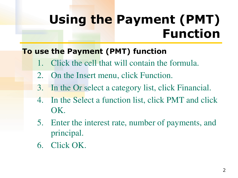### **Using the Payment (PMT) Function**

#### **To use the Payment (PMT) function**

- 1. Click the cell that will contain the formula.
- 2. On the Insert menu, click Function.
- 3. In the Or select a category list, click Financial.
- 4. In the Select a function list, click PMT and click OK.
- 5. Enter the interest rate, number of payments, and principal.
- 6. Click OK.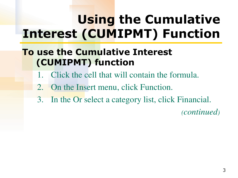# **Using the Cumulative Interest (CUMIPMT) Function**

### **To use the Cumulative Interest (CUMIPMT) function**

- Click the cell that will contain the formula.
- 2. On the Insert menu, click Function.
- 3. In the Or select a category list, click Financial.

*(continued)*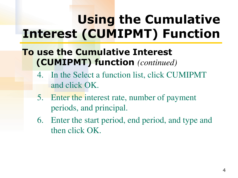# **Using the Cumulative Interest (CUMIPMT) Function**

### **To use the Cumulative Interest (CUMIPMT) function** *(continued)*

- 4. In the Select a function list, click CUMIPMT and click OK.
- 5. Enter the interest rate, number of payment periods, and principal.
- 6. Enter the start period, end period, and type and then click OK.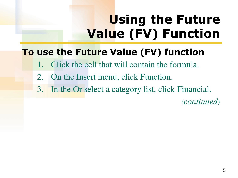# **Using the Future Value (FV) Function**

### **To use the Future Value (FV) function**

- Click the cell that will contain the formula.
- 2. On the Insert menu, click Function.
- 3. In the Or select a category list, click Financial.

*(continued)*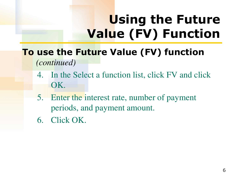# **Using the Future Value (FV) Function**

### **To use the Future Value (FV) function**  *(continued)*

- 4. In the Select a function list, click FV and click OK.
- 5. Enter the interest rate, number of payment periods, and payment amount.
- 6. Click OK.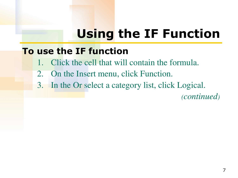### **Using the IF Function**

#### **To use the IF function**

- 1. Click the cell that will contain the formula.
- 2. On the Insert menu, click Function.
- 3. In the Or select a category list, click Logical.

*(continued)*